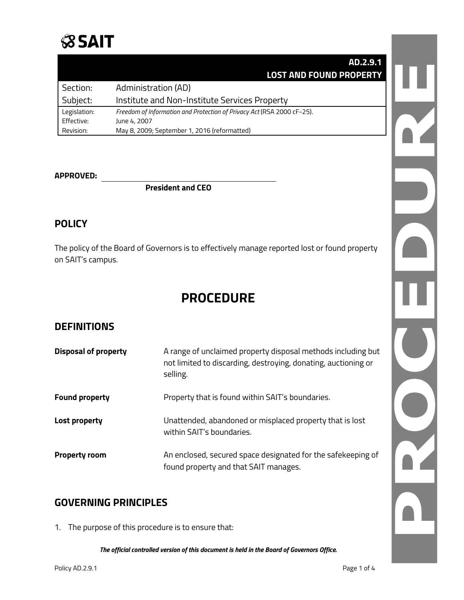

|              | AD.2.9.1                                                               |
|--------------|------------------------------------------------------------------------|
|              | <b>LOST AND FOUND PROPERTY</b>                                         |
| Section:     | Administration (AD)                                                    |
| Subject:     | Institute and Non-Institute Services Property                          |
| Legislation: | Freedom of Information and Protection of Privacy Act (RSA 2000 cF-25). |
| Effective:   | June 4, 2007                                                           |
| Revision:    | May 8, 2009; September 1, 2016 (reformatted)                           |

#### **APPROVED:**

#### **President and CEO**

### **POLICY**

The policy of the Board of Governors is to effectively manage reported lost or found property on SAIT's campus.

## **PROCEDURE**

## **DEFINITIONS**

| <b>Disposal of property</b> | A range of unclaimed property disposal methods including but<br>not limited to discarding, destroying, donating, auctioning or<br>selling. |
|-----------------------------|--------------------------------------------------------------------------------------------------------------------------------------------|
| <b>Found property</b>       | Property that is found within SAIT's boundaries.                                                                                           |
| Lost property               | Unattended, abandoned or misplaced property that is lost<br>within SAIT's boundaries.                                                      |
| <b>Property room</b>        | An enclosed, secured space designated for the safekeeping of<br>found property and that SAIT manages.                                      |

## **GOVERNING PRINCIPLES**

1. The purpose of this procedure is to ensure that: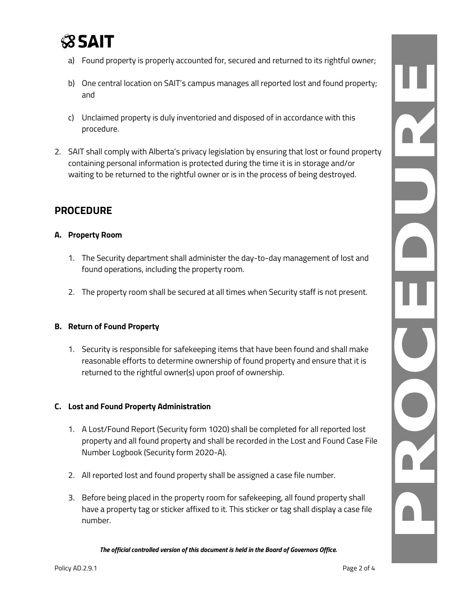

- a) Found property is properly accounted for, secured and returned to its rightful owner;
- b) One central location on SAIT's campus manages all reported lost and found property; and
- c) Unclaimed property is duly inventoried and disposed of in accordance with this procedure.
- 2. SAIT shall comply with Alberta's privacy legislation by ensuring that lost or found property containing personal information is protected during the time it is in storage and/or waiting to be returned to the rightful owner or is in the process of being destroyed.

## **PROCEDURE**

#### **A. Property Room**

- 1. The Security department shall administer the day-to-day management of lost and found operations, including the property room.
- 2. The property room shall be secured at all times when Security staff is not present.

#### **B. Return of Found Property**

1. Security is responsible for safekeeping items that have been found and shall make reasonable efforts to determine ownership of found property and ensure that it is returned to the rightful owner(s) upon proof of ownership.

#### **C. Lost and Found Property Administration**

- 1. A Lost/Found Report (Security form 1020) shall be completed for all reported lost property and all found property and shall be recorded in the Lost and Found Case File Number Logbook (Security form 2020-A).
- 2. All reported lost and found property shall be assigned a case file number.
- 3. Before being placed in the property room for safekeeping, all found property shall have a property tag or sticker affixed to it. This sticker or tag shall display a case file number.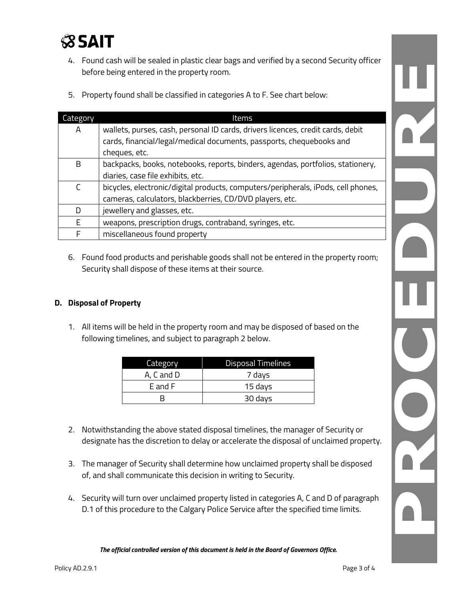

- 4. Found cash will be sealed in plastic clear bags and verified by a second Security officer before being entered in the property room.
- 5. Property found shall be classified in categories A to F. See chart below:

| Category | Items                                                                             |
|----------|-----------------------------------------------------------------------------------|
| Α        | wallets, purses, cash, personal ID cards, drivers licences, credit cards, debit   |
|          | cards, financial/legal/medical documents, passports, chequebooks and              |
|          | cheques, etc.                                                                     |
| B        | backpacks, books, notebooks, reports, binders, agendas, portfolios, stationery,   |
|          | diaries, case file exhibits, etc.                                                 |
| C        | bicycles, electronic/digital products, computers/peripherals, iPods, cell phones, |
|          | cameras, calculators, blackberries, CD/DVD players, etc.                          |
| D        | jewellery and glasses, etc.                                                       |
| E        | weapons, prescription drugs, contraband, syringes, etc.                           |
| F        | miscellaneous found property                                                      |

6. Found food products and perishable goods shall not be entered in the property room; Security shall dispose of these items at their source.

#### **D. Disposal of Property**

1. All items will be held in the property room and may be disposed of based on the following timelines, and subject to paragraph 2 below.

| Category   | <b>Disposal Timelines</b> |
|------------|---------------------------|
| A, C and D | 7 days                    |
| F and F    | 15 days                   |
|            | 30 days                   |

- 2. Notwithstanding the above stated disposal timelines, the manager of Security or designate has the discretion to delay or accelerate the disposal of unclaimed property.
- 3. The manager of Security shall determine how unclaimed property shall be disposed of, and shall communicate this decision in writing to Security.
- 4. Security will turn over unclaimed property listed in categories A, C and D of paragraph D.1 of this procedure to the Calgary Police Service after the specified time limits.